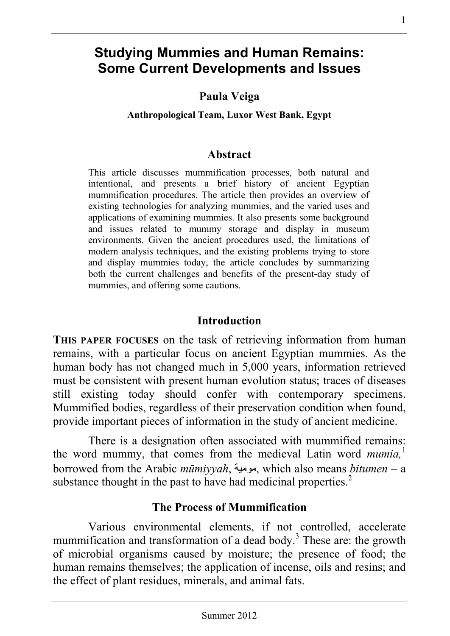# **Studying Mummies and Human Remains: Some Current Developments and Issues**

**Paula Veiga** 

**Anthropological Team, Luxor West Bank, Egypt** 

#### **Abstract**

This article discusses mummification processes, both natural and intentional, and presents a brief history of ancient Egyptian mummification procedures. The article then provides an overview of existing technologies for analyzing mummies, and the varied uses and applications of examining mummies. It also presents some background and issues related to mummy storage and display in museum environments. Given the ancient procedures used, the limitations of modern analysis techniques, and the existing problems trying to store and display mummies today, the article concludes by summarizing both the current challenges and benefits of the present-day study of mummies, and offering some cautions.

#### **Introduction**

**THIS PAPER FOCUSES** on the task of retrieving information from human remains, with a particular focus on ancient Egyptian mummies. As the human body has not changed much in 5,000 years, information retrieved must be consistent with present human evolution status; traces of diseases still existing today should confer with contemporary specimens. Mummified bodies, regardless of their preservation condition when found, provide important pieces of information in the study of ancient medicine.

There is a designation often associated with mummified remains: the word mummy, that comes from the medieval Latin word *mumia*,<sup>1</sup> borrowed from the Arabic *mūmiyyah*, مومية, which also means *bitumen* − a substance thought in the past to have had medicinal properties.<sup>2</sup>

## **The Process of Mummification**

Various environmental elements, if not controlled, accelerate mummification and transformation of a dead body.<sup>3</sup> These are: the growth of microbial organisms caused by moisture; the presence of food; the human remains themselves; the application of incense, oils and resins; and the effect of plant residues, minerals, and animal fats.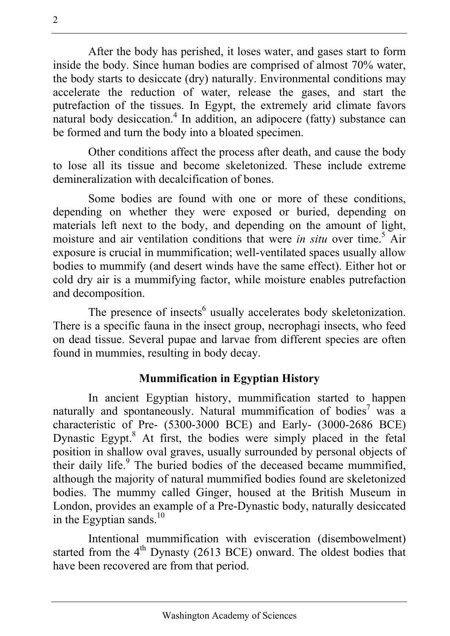After the body has perished, it loses water, and gases start to form inside the body. Since human bodies are comprised of almost 70% water, the body starts to desiccate (dry) naturally. Environmental conditions may accelerate the reduction of water, release the gases, and start the putrefaction of the tissues. In Egypt, the extremely arid climate favors natural body desiccation.<sup>4</sup> In addition, an adipocere (fatty) substance can be formed and turn the body into a bloated specimen.

Other conditions affect the process after death, and cause the body to lose all its tissue and become skeletonized. These include extreme demineralization with decalcification of bones.

Some bodies are found with one or more of these conditions, depending on whether they were exposed or buried, depending on materials left next to the body, and depending on the amount of light, moisture and air ventilation conditions that were *in situ* over time.<sup>5</sup> Air exposure is crucial in mummification; well-ventilated spaces usually allow bodies to mummify (and desert winds have the same effect). Either hot or cold dry air is a mummifying factor, while moisture enables putrefaction and decomposition.

The presence of insects<sup>6</sup> usually accelerates body skeletonization. There is a specific fauna in the insect group, necrophagi insects, who feed on dead tissue. Several pupae and larvae from different species are often found in mummies, resulting in body decay.

## **Mummification in Egyptian History**

In ancient Egyptian history, mummification started to happen naturally and spontaneously. Natural mummification of bodies<sup>7</sup> was a characteristic of Pre- (5300-3000 BCE) and Early- (3000-2686 BCE) Dynastic Egypt.<sup>8</sup> At first, the bodies were simply placed in the fetal position in shallow oval graves, usually surrounded by personal objects of their daily life.<sup>9</sup> The buried bodies of the deceased became mummified, although the majority of natural mummified bodies found are skeletonized bodies. The mummy called Ginger, housed at the British Museum in London, provides an example of a Pre-Dynastic body, naturally desiccated in the Egyptian sands. $^{10}$ 

Intentional mummification with evisceration (disembowelment) started from the  $4<sup>th</sup>$  Dynasty (2613 BCE) onward. The oldest bodies that have been recovered are from that period.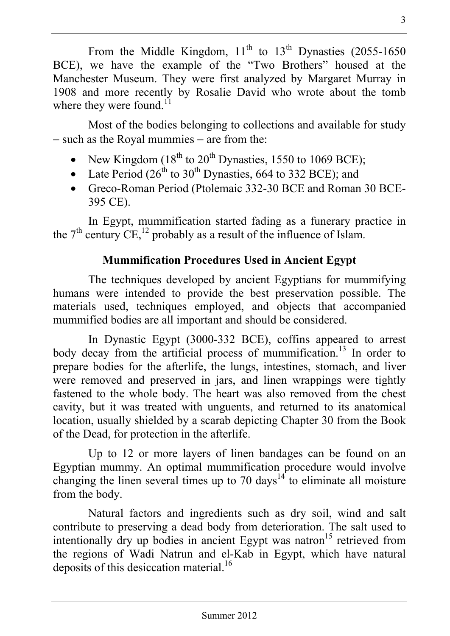From the Middle Kingdom,  $11<sup>th</sup>$  to  $13<sup>th</sup>$  Dynasties (2055-1650) BCE), we have the example of the "Two Brothers" housed at the Manchester Museum. They were first analyzed by Margaret Murray in 1908 and more recently by Rosalie David who wrote about the tomb where they were found. $11$ 

Most of the bodies belonging to collections and available for study − such as the Royal mummies − are from the:

- New Kingdom ( $18<sup>th</sup>$  to  $20<sup>th</sup>$  Dynasties, 1550 to 1069 BCE);
- Late Period  $(26<sup>th</sup>$  to  $30<sup>th</sup>$  Dynasties, 664 to 332 BCE); and
- Greco-Roman Period (Ptolemaic 332-30 BCE and Roman 30 BCE-395 CE).

In Egypt, mummification started fading as a funerary practice in the  $7<sup>th</sup>$  century CE,<sup>12</sup> probably as a result of the influence of Islam.

## **Mummification Procedures Used in Ancient Egypt**

The techniques developed by ancient Egyptians for mummifying humans were intended to provide the best preservation possible. The materials used, techniques employed, and objects that accompanied mummified bodies are all important and should be considered.

In Dynastic Egypt (3000-332 BCE), coffins appeared to arrest body decay from the artificial process of mummification.<sup>13</sup> In order to prepare bodies for the afterlife, the lungs, intestines, stomach, and liver were removed and preserved in jars, and linen wrappings were tightly fastened to the whole body. The heart was also removed from the chest cavity, but it was treated with unguents, and returned to its anatomical location, usually shielded by a scarab depicting Chapter 30 from the Book of the Dead, for protection in the afterlife.

Up to 12 or more layers of linen bandages can be found on an Egyptian mummy. An optimal mummification procedure would involve changing the linen several times up to 70 days<sup>14</sup> to eliminate all moisture from the body.

Natural factors and ingredients such as dry soil, wind and salt contribute to preserving a dead body from deterioration. The salt used to intentionally dry up bodies in ancient Egypt was natron<sup>15</sup> retrieved from the regions of Wadi Natrun and el-Kab in Egypt, which have natural deposits of this desiccation material.<sup>16</sup>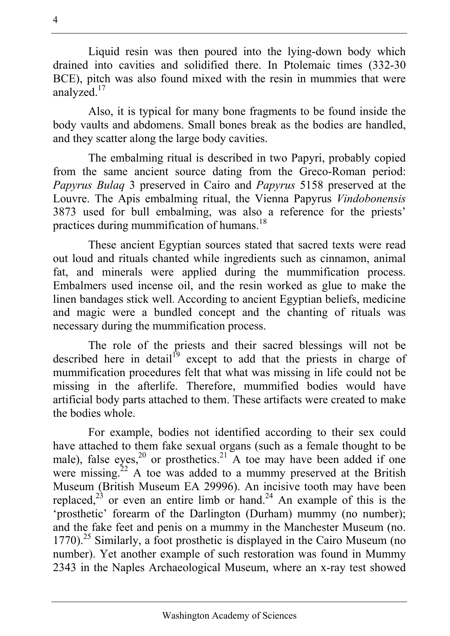Liquid resin was then poured into the lying-down body which drained into cavities and solidified there. In Ptolemaic times (332-30 BCE), pitch was also found mixed with the resin in mummies that were analyzed.17

Also, it is typical for many bone fragments to be found inside the body vaults and abdomens. Small bones break as the bodies are handled, and they scatter along the large body cavities.

The embalming ritual is described in two Papyri, probably copied from the same ancient source dating from the Greco-Roman period: *Papyrus Bulaq* 3 preserved in Cairo and *Papyrus* 5158 preserved at the Louvre. The Apis embalming ritual, the Vienna Papyrus *Vindobonensis* 3873 used for bull embalming, was also a reference for the priests' practices during mummification of humans.<sup>18</sup>

These ancient Egyptian sources stated that sacred texts were read out loud and rituals chanted while ingredients such as cinnamon, animal fat, and minerals were applied during the mummification process. Embalmers used incense oil, and the resin worked as glue to make the linen bandages stick well. According to ancient Egyptian beliefs, medicine and magic were a bundled concept and the chanting of rituals was necessary during the mummification process.

The role of the priests and their sacred blessings will not be described here in detail<sup>19</sup> except to add that the priests in charge of mummification procedures felt that what was missing in life could not be missing in the afterlife. Therefore, mummified bodies would have artificial body parts attached to them. These artifacts were created to make the bodies whole.

For example, bodies not identified according to their sex could have attached to them fake sexual organs (such as a female thought to be male), false eyes,<sup>20</sup> or prosthetics.<sup>21</sup> A toe may have been added if one were missing.<sup>22</sup> A toe was added to a mummy preserved at the British Museum (British Museum EA 29996). An incisive tooth may have been replaced,<sup>23</sup> or even an entire limb or hand.<sup>24</sup> An example of this is the 'prosthetic' forearm of the Darlington (Durham) mummy (no number); and the fake feet and penis on a mummy in the Manchester Museum (no.  $1770$ ).<sup>25</sup> Similarly, a foot prosthetic is displayed in the Cairo Museum (no number). Yet another example of such restoration was found in Mummy 2343 in the Naples Archaeological Museum, where an x-ray test showed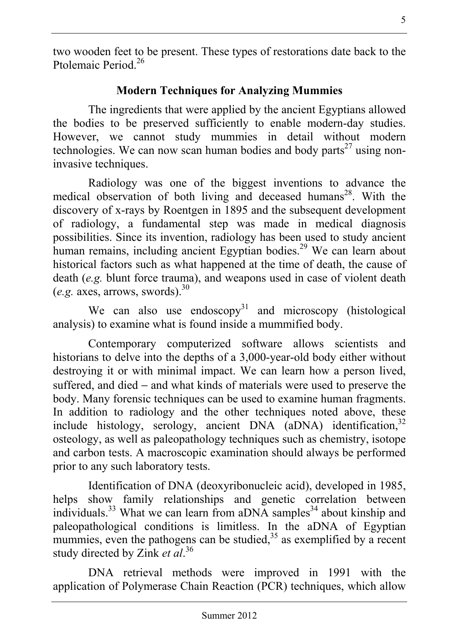two wooden feet to be present. These types of restorations date back to the Ptolemaic Period<sup>26</sup>

## **Modern Techniques for Analyzing Mummies**

The ingredients that were applied by the ancient Egyptians allowed the bodies to be preserved sufficiently to enable modern-day studies. However, we cannot study mummies in detail without modern technologies. We can now scan human bodies and body parts<sup>27</sup> using noninvasive techniques.

Radiology was one of the biggest inventions to advance the medical observation of both living and deceased humans<sup>28</sup>. With the discovery of x-rays by Roentgen in 1895 and the subsequent development of radiology, a fundamental step was made in medical diagnosis possibilities. Since its invention, radiology has been used to study ancient human remains, including ancient Egyptian bodies.<sup>29</sup> We can learn about historical factors such as what happened at the time of death, the cause of death (*e.g.* blunt force trauma), and weapons used in case of violent death  $(e.g. axes, arrows, words).$ <sup>30</sup>

We can also use endoscopy<sup>31</sup> and microscopy (histological analysis) to examine what is found inside a mummified body.

Contemporary computerized software allows scientists and historians to delve into the depths of a 3,000-year-old body either without destroying it or with minimal impact. We can learn how a person lived, suffered, and died – and what kinds of materials were used to preserve the body. Many forensic techniques can be used to examine human fragments. In addition to radiology and the other techniques noted above, these include histology, serology, ancient DNA  $(aDNA)$  identification.<sup>32</sup> osteology, as well as paleopathology techniques such as chemistry, isotope and carbon tests. A macroscopic examination should always be performed prior to any such laboratory tests.

Identification of DNA (deoxyribonucleic acid), developed in 1985, helps show family relationships and genetic correlation between individuals.<sup>33</sup> What we can learn from aDNA samples<sup>34</sup> about kinship and paleopathological conditions is limitless. In the aDNA of Egyptian mummies, even the pathogens can be studied,<sup>35</sup> as exemplified by a recent study directed by Zink *et al*. 36

DNA retrieval methods were improved in 1991 with the application of Polymerase Chain Reaction (PCR) techniques, which allow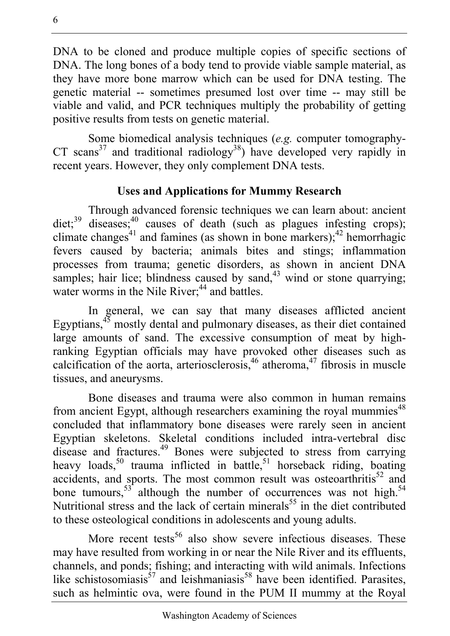DNA to be cloned and produce multiple copies of specific sections of DNA. The long bones of a body tend to provide viable sample material, as they have more bone marrow which can be used for DNA testing. The genetic material -- sometimes presumed lost over time -- may still be viable and valid, and PCR techniques multiply the probability of getting positive results from tests on genetic material.

Some biomedical analysis techniques (*e.g.* computer tomography-CT scans<sup>37</sup> and traditional radiology<sup>38</sup>) have developed very rapidly in recent years. However, they only complement DNA tests.

## **Uses and Applications for Mummy Research**

Through advanced forensic techniques we can learn about: ancient diet;<sup>39</sup> diseases;<sup>40</sup> causes of death (such as plagues infesting crops); climate changes<sup>41</sup> and famines (as shown in bone markers);<sup>42</sup> hemorrhagic fevers caused by bacteria; animals bites and stings; inflammation processes from trauma; genetic disorders, as shown in ancient DNA samples; hair lice; blindness caused by sand,  $43$  wind or stone quarrying; water worms in the Nile River;<sup>44</sup> and battles.

In general, we can say that many diseases afflicted ancient Egyptians,<sup>45</sup> mostly dental and pulmonary diseases, as their diet contained large amounts of sand. The excessive consumption of meat by highranking Egyptian officials may have provoked other diseases such as calcification of the aorta, arteriosclerosis, $46$  atheroma, $47$  fibrosis in muscle tissues, and aneurysms.

Bone diseases and trauma were also common in human remains from ancient Egypt, although researchers examining the royal mummies<sup>48</sup> concluded that inflammatory bone diseases were rarely seen in ancient Egyptian skeletons. Skeletal conditions included intra-vertebral disc disease and fractures.<sup>49</sup> Bones were subjected to stress from carrying heavy loads,<sup>50</sup> trauma inflicted in battle,<sup>51</sup> horseback riding, boating accidents, and sports. The most common result was osteoarthritis $52$  and bone tumours,<sup>53</sup> although the number of occurrences was not high.<sup>54</sup> Nutritional stress and the lack of certain minerals<sup>55</sup> in the diet contributed to these osteological conditions in adolescents and young adults.

More recent tests<sup>56</sup> also show severe infectious diseases. These may have resulted from working in or near the Nile River and its effluents, channels, and ponds; fishing; and interacting with wild animals. Infections like schistosomiasis<sup>57</sup> and leishmaniasis<sup>58</sup> have been identified. Parasites, such as helmintic ova, were found in the PUM II mummy at the Royal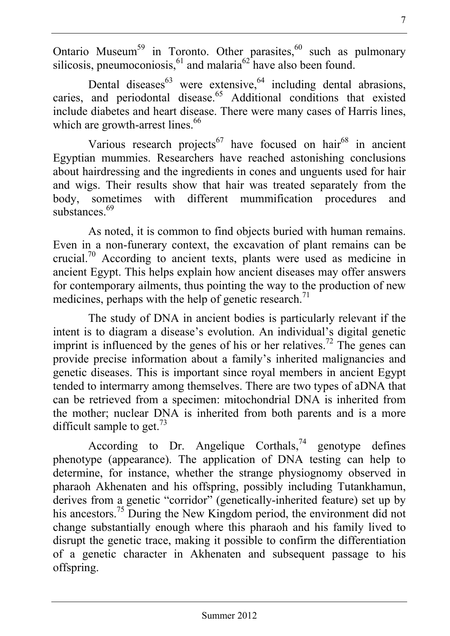Ontario Museum<sup>59</sup> in Toronto. Other parasites,<sup>60</sup> such as pulmonary silicosis, pneumoconiosis,  $61$  and malaria $62$  have also been found.

Dental diseases<sup>63</sup> were extensive,  $64$  including dental abrasions, caries, and periodontal disease.<sup>65</sup> Additional conditions that existed include diabetes and heart disease. There were many cases of Harris lines, which are growth-arrest lines.<sup>66</sup>

Various research projects<sup>67</sup> have focused on hair<sup>68</sup> in ancient Egyptian mummies. Researchers have reached astonishing conclusions about hairdressing and the ingredients in cones and unguents used for hair and wigs. Their results show that hair was treated separately from the body, sometimes with different mummification procedures and substances. $69$ 

As noted, it is common to find objects buried with human remains. Even in a non-funerary context, the excavation of plant remains can be crucial.70 According to ancient texts, plants were used as medicine in ancient Egypt. This helps explain how ancient diseases may offer answers for contemporary ailments, thus pointing the way to the production of new medicines, perhaps with the help of genetic research.<sup>71</sup>

The study of DNA in ancient bodies is particularly relevant if the intent is to diagram a disease's evolution. An individual's digital genetic imprint is influenced by the genes of his or her relatives.<sup>72</sup> The genes can provide precise information about a family's inherited malignancies and genetic diseases. This is important since royal members in ancient Egypt tended to intermarry among themselves. There are two types of aDNA that can be retrieved from a specimen: mitochondrial DNA is inherited from the mother; nuclear DNA is inherited from both parents and is a more difficult sample to get.<sup>73</sup>

According to Dr. Angelique Corthals,<sup>74</sup> genotype defines phenotype (appearance). The application of DNA testing can help to determine, for instance, whether the strange physiognomy observed in pharaoh Akhenaten and his offspring, possibly including Tutankhamun, derives from a genetic "corridor" (genetically-inherited feature) set up by his ancestors.<sup>75</sup> During the New Kingdom period, the environment did not change substantially enough where this pharaoh and his family lived to disrupt the genetic trace, making it possible to confirm the differentiation of a genetic character in Akhenaten and subsequent passage to his offspring.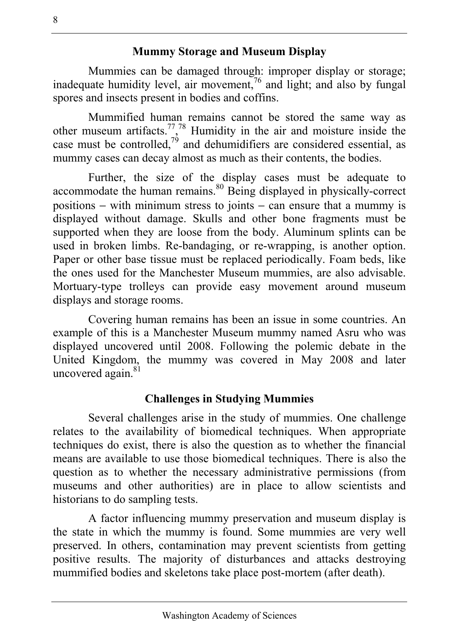#### **Mummy Storage and Museum Display**

Mummies can be damaged through: improper display or storage; inadequate humidity level, air movement, $\frac{7}{6}$  and light; and also by fungal spores and insects present in bodies and coffins.

Mummified human remains cannot be stored the same way as other museum artifacts.<sup>77</sup>,<sup>78</sup> Humidity in the air and moisture inside the case must be controlled,<sup>79</sup> and dehumidifiers are considered essential, as mummy cases can decay almost as much as their contents, the bodies.

Further, the size of the display cases must be adequate to accommodate the human remains.<sup>80</sup> Being displayed in physically-correct positions − with minimum stress to joints − can ensure that a mummy is displayed without damage. Skulls and other bone fragments must be supported when they are loose from the body. Aluminum splints can be used in broken limbs. Re-bandaging, or re-wrapping, is another option. Paper or other base tissue must be replaced periodically. Foam beds, like the ones used for the Manchester Museum mummies, are also advisable. Mortuary-type trolleys can provide easy movement around museum displays and storage rooms.

Covering human remains has been an issue in some countries. An example of this is a Manchester Museum mummy named Asru who was displayed uncovered until 2008. Following the polemic debate in the United Kingdom, the mummy was covered in May 2008 and later uncovered again.<sup>81</sup>

## **Challenges in Studying Mummies**

Several challenges arise in the study of mummies. One challenge relates to the availability of biomedical techniques. When appropriate techniques do exist, there is also the question as to whether the financial means are available to use those biomedical techniques. There is also the question as to whether the necessary administrative permissions (from museums and other authorities) are in place to allow scientists and historians to do sampling tests.

A factor influencing mummy preservation and museum display is the state in which the mummy is found. Some mummies are very well preserved. In others, contamination may prevent scientists from getting positive results. The majority of disturbances and attacks destroying mummified bodies and skeletons take place post-mortem (after death).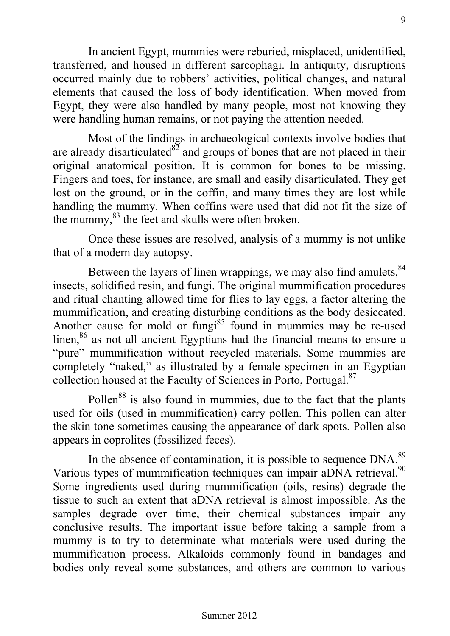In ancient Egypt, mummies were reburied, misplaced, unidentified, transferred, and housed in different sarcophagi. In antiquity, disruptions occurred mainly due to robbers' activities, political changes, and natural elements that caused the loss of body identification. When moved from Egypt, they were also handled by many people, most not knowing they were handling human remains, or not paying the attention needed.

Most of the findings in archaeological contexts involve bodies that are already disarticulated  $8^{\frac{8}{2}}$  and groups of bones that are not placed in their original anatomical position. It is common for bones to be missing. Fingers and toes, for instance, are small and easily disarticulated. They get lost on the ground, or in the coffin, and many times they are lost while handling the mummy. When coffins were used that did not fit the size of the mummy, <sup>83</sup> the feet and skulls were often broken.

Once these issues are resolved, analysis of a mummy is not unlike that of a modern day autopsy.

Between the layers of linen wrappings, we may also find amulets.<sup>84</sup> insects, solidified resin, and fungi. The original mummification procedures and ritual chanting allowed time for flies to lay eggs, a factor altering the mummification, and creating disturbing conditions as the body desiccated. Another cause for mold or fungi<sup>85</sup> found in mummies may be re-used linen,<sup>86</sup> as not all ancient Egyptians had the financial means to ensure a "pure" mummification without recycled materials. Some mummies are completely "naked," as illustrated by a female specimen in an Egyptian collection housed at the Faculty of Sciences in Porto, Portugal.<sup>87</sup>

Pollen<sup>88</sup> is also found in mummies, due to the fact that the plants used for oils (used in mummification) carry pollen. This pollen can alter the skin tone sometimes causing the appearance of dark spots. Pollen also appears in coprolites (fossilized feces).

In the absence of contamination, it is possible to sequence DNA.<sup>89</sup> Various types of mummification techniques can impair aDNA retrieval.<sup>90</sup> Some ingredients used during mummification (oils, resins) degrade the tissue to such an extent that aDNA retrieval is almost impossible. As the samples degrade over time, their chemical substances impair any conclusive results. The important issue before taking a sample from a mummy is to try to determinate what materials were used during the mummification process. Alkaloids commonly found in bandages and bodies only reveal some substances, and others are common to various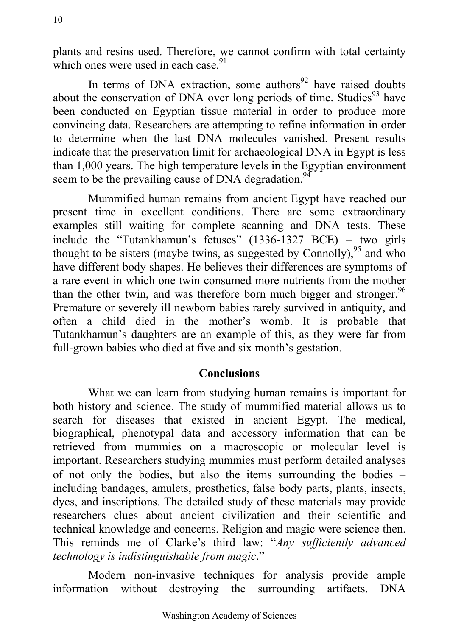plants and resins used. Therefore, we cannot confirm with total certainty which ones were used in each case  $91$ 

In terms of DNA extraction, some authors $92$  have raised doubts about the conservation of DNA over long periods of time. Studies<sup>93</sup> have been conducted on Egyptian tissue material in order to produce more convincing data. Researchers are attempting to refine information in order to determine when the last DNA molecules vanished. Present results indicate that the preservation limit for archaeological DNA in Egypt is less than 1,000 years. The high temperature levels in the Egyptian environment seem to be the prevailing cause of DNA degradation.<sup>94</sup>

Mummified human remains from ancient Egypt have reached our present time in excellent conditions. There are some extraordinary examples still waiting for complete scanning and DNA tests. These include the "Tutankhamun's fetuses" (1336-1327 BCE) − two girls thought to be sisters (maybe twins, as suggested by Connolly).<sup>95</sup> and who have different body shapes. He believes their differences are symptoms of a rare event in which one twin consumed more nutrients from the mother than the other twin, and was therefore born much bigger and stronger.  $96$ Premature or severely ill newborn babies rarely survived in antiquity, and often a child died in the mother's womb. It is probable that Tutankhamun's daughters are an example of this, as they were far from full-grown babies who died at five and six month's gestation.

## **Conclusions**

What we can learn from studying human remains is important for both history and science. The study of mummified material allows us to search for diseases that existed in ancient Egypt. The medical, biographical, phenotypal data and accessory information that can be retrieved from mummies on a macroscopic or molecular level is important. Researchers studying mummies must perform detailed analyses of not only the bodies, but also the items surrounding the bodies − including bandages, amulets, prosthetics, false body parts, plants, insects, dyes, and inscriptions. The detailed study of these materials may provide researchers clues about ancient civilization and their scientific and technical knowledge and concerns. Religion and magic were science then. This reminds me of Clarke's third law: "*Any sufficiently advanced technology is indistinguishable from magic*."

Modern non-invasive techniques for analysis provide ample information without destroying the surrounding artifacts. DNA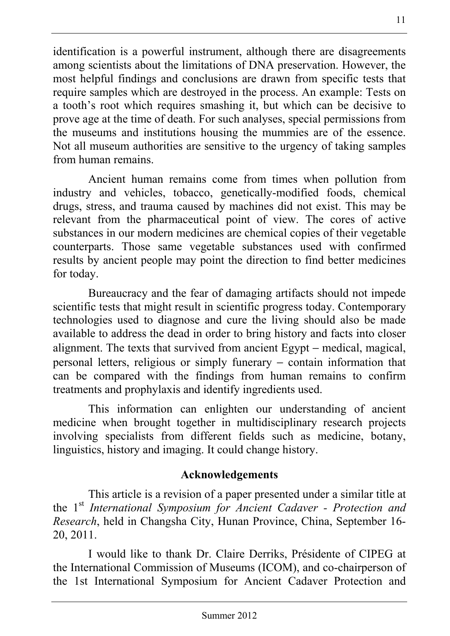identification is a powerful instrument, although there are disagreements among scientists about the limitations of DNA preservation. However, the most helpful findings and conclusions are drawn from specific tests that require samples which are destroyed in the process. An example: Tests on a tooth's root which requires smashing it, but which can be decisive to prove age at the time of death. For such analyses, special permissions from the museums and institutions housing the mummies are of the essence. Not all museum authorities are sensitive to the urgency of taking samples from human remains.

Ancient human remains come from times when pollution from industry and vehicles, tobacco, genetically-modified foods, chemical drugs, stress, and trauma caused by machines did not exist. This may be relevant from the pharmaceutical point of view. The cores of active substances in our modern medicines are chemical copies of their vegetable counterparts. Those same vegetable substances used with confirmed results by ancient people may point the direction to find better medicines for today.

Bureaucracy and the fear of damaging artifacts should not impede scientific tests that might result in scientific progress today. Contemporary technologies used to diagnose and cure the living should also be made available to address the dead in order to bring history and facts into closer alignment. The texts that survived from ancient Egypt − medical, magical, personal letters, religious or simply funerary − contain information that can be compared with the findings from human remains to confirm treatments and prophylaxis and identify ingredients used.

This information can enlighten our understanding of ancient medicine when brought together in multidisciplinary research projects involving specialists from different fields such as medicine, botany, linguistics, history and imaging. It could change history.

## **Acknowledgements**

This article is a revision of a paper presented under a similar title at the 1st *International Symposium for Ancient Cadaver - Protection and Research*, held in Changsha City, Hunan Province, China, September 16- 20, 2011.

I would like to thank Dr. Claire Derriks, Présidente of CIPEG at the International Commission of Museums (ICOM), and co-chairperson of the 1st International Symposium for Ancient Cadaver Protection and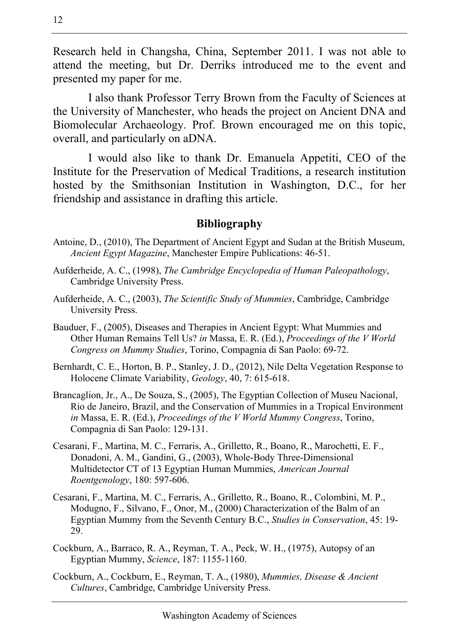Research held in Changsha, China, September 2011. I was not able to attend the meeting, but Dr. Derriks introduced me to the event and presented my paper for me.

I also thank Professor Terry Brown from the Faculty of Sciences at the University of Manchester, who heads the project on Ancient DNA and Biomolecular Archaeology. Prof. Brown encouraged me on this topic, overall, and particularly on aDNA.

I would also like to thank Dr. Emanuela Appetiti, CEO of the Institute for the Preservation of Medical Traditions, a research institution hosted by the Smithsonian Institution in Washington, D.C., for her friendship and assistance in drafting this article.

#### **Bibliography**

- Antoine, D., (2010), The Department of Ancient Egypt and Sudan at the British Museum, *Ancient Egypt Magazine*, Manchester Empire Publications: 46-51.
- Aufderheide, A. C., (1998), *The Cambridge Encyclopedia of Human Paleopathology*, Cambridge University Press.
- Aufderheide, A. C., (2003), *The Scientific Study of Mummies*, Cambridge, Cambridge University Press.
- Bauduer, F., (2005), Diseases and Therapies in Ancient Egypt: What Mummies and Other Human Remains Tell Us? *in* Massa, E. R. (Ed.), *Proceedings of the V World Congress on Mummy Studies*, Torino, Compagnia di San Paolo: 69-72.
- Bernhardt, C. E., Horton, B. P., Stanley, J. D., (2012), Nile Delta Vegetation Response to Holocene Climate Variability, *Geology*, 40, 7: 615-618.
- Brancaglion, Jr., A., De Souza, S., (2005), The Egyptian Collection of Museu Nacional, Rio de Janeiro, Brazil, and the Conservation of Mummies in a Tropical Environment *in* Massa, E. R. (Ed.), *Proceedings of the V World Mummy Congress*, Torino, Compagnia di San Paolo: 129-131.
- Cesarani, F., Martina, M. C., Ferraris, A., Grilletto, R., Boano, R., Marochetti, E. F., Donadoni, A. M., Gandini, G., (2003), Whole-Body Three-Dimensional Multidetector CT of 13 Egyptian Human Mummies, *American Journal Roentgenology*, 180: 597-606.
- Cesarani, F., Martina, M. C., Ferraris, A., Grilletto, R., Boano, R., Colombini, M. P., Modugno, F., Silvano, F., Onor, M., (2000) Characterization of the Balm of an Egyptian Mummy from the Seventh Century B.C., *Studies in Conservation*, 45: 19- 29.
- Cockburn, A., Barraco, R. A., Reyman, T. A., Peck, W. H., (1975), Autopsy of an Egyptian Mummy, *Science*, 187: 1155-1160.
- Cockburn, A., Cockburn, E., Reyman, T. A., (1980), *Mummies, Disease & Ancient Cultures*, Cambridge, Cambridge University Press.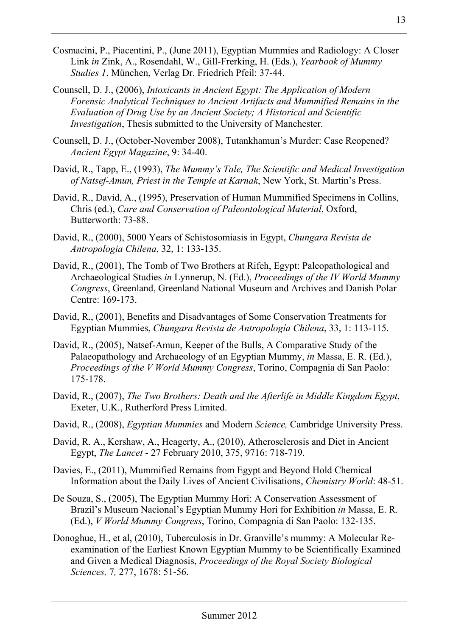- Cosmacini, P., Piacentini, P., (June 2011), Egyptian Mummies and Radiology: A Closer Link *in* Zink, A., Rosendahl, W., Gill-Frerking, H. (Eds.), *Yearbook of Mummy Studies 1*, München, Verlag Dr. Friedrich Pfeil: 37-44.
- Counsell, D. J., (2006), *Intoxicants in Ancient Egypt: The Application of Modern Forensic Analytical Techniques to Ancient Artifacts and Mummified Remains in the Evaluation of Drug Use by an Ancient Society; A Historical and Scientific Investigation*, Thesis submitted to the University of Manchester.
- Counsell, D. J., (October-November 2008), Tutankhamun's Murder: Case Reopened? *Ancient Egypt Magazine*, 9: 34-40.
- David, R., Tapp, E., (1993), *The Mummy's Tale, The Scientific and Medical Investigation of Natsef-Amun, Priest in the Temple at Karnak*, New York, St. Martin's Press.
- David, R., David, A., (1995), Preservation of Human Mummified Specimens in Collins, Chris (ed.), *Care and Conservation of Paleontological Material*, Oxford, Butterworth: 73-88.
- David, R., (2000), 5000 Years of Schistosomiasis in Egypt, *Chungara Revista de Antropologia Chilena*, 32, 1: 133-135.
- David, R., (2001), The Tomb of Two Brothers at Rifeh, Egypt: Paleopathological and Archaeological Studies *in* Lynnerup, N. (Ed.), *Proceedings of the IV World Mummy Congress*, Greenland, Greenland National Museum and Archives and Danish Polar Centre: 169-173.
- David, R., (2001), Benefits and Disadvantages of Some Conservation Treatments for Egyptian Mummies, *Chungara Revista de Antropología Chilena*, 33, 1: 113-115.
- David, R., (2005), Natsef-Amun, Keeper of the Bulls, A Comparative Study of the Palaeopathology and Archaeology of an Egyptian Mummy, *in* Massa, E. R. (Ed.), *Proceedings of the V World Mummy Congress*, Torino, Compagnia di San Paolo: 175-178.
- David, R., (2007), *The Two Brothers: Death and the Afterlife in Middle Kingdom Egypt*, Exeter, U.K., Rutherford Press Limited.
- David, R., (2008), *Egyptian Mummies* and Modern *Science,* Cambridge University Press.
- David, R. A., Kershaw, A., Heagerty, A., (2010), Atherosclerosis and Diet in Ancient Egypt, *The Lancet* - 27 February 2010, 375, 9716: 718-719.
- Davies, E., (2011), Mummified Remains from Egypt and Beyond Hold Chemical Information about the Daily Lives of Ancient Civilisations, *Chemistry World*: 48-51.
- De Souza, S., (2005), The Egyptian Mummy Hori: A Conservation Assessment of Brazil's Museum Nacional's Egyptian Mummy Hori for Exhibition *in* Massa, E. R. (Ed.), *V World Mummy Congress*, Torino, Compagnia di San Paolo: 132-135.
- Donoghue, H., et al, (2010), Tuberculosis in Dr. Granville's mummy: A Molecular Reexamination of the Earliest Known Egyptian Mummy to be Scientifically Examined and Given a Medical Diagnosis, *Proceedings of the Royal Society Biological Sciences,* 7*,* 277, 1678: 51-56.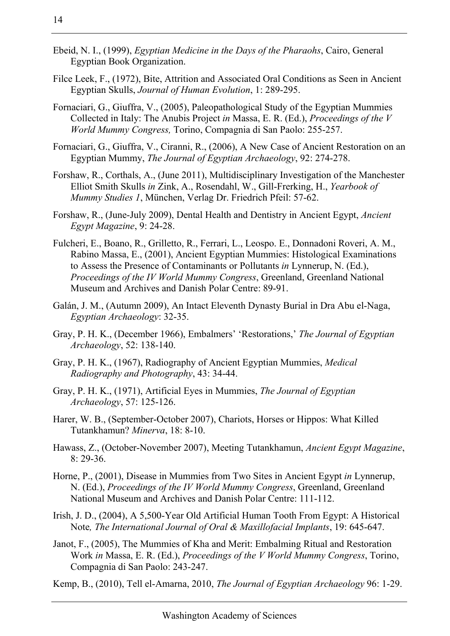- Filce Leek, F., (1972), Bite, Attrition and Associated Oral Conditions as Seen in Ancient Egyptian Skulls, *Journal of Human Evolution*, 1: 289-295.
- Fornaciari, G., Giuffra, V., (2005), Paleopathological Study of the Egyptian Mummies Collected in Italy: The Anubis Project *in* Massa, E. R. (Ed.), *Proceedings of the V World Mummy Congress,* Torino, Compagnia di San Paolo: 255-257.
- Fornaciari, G., Giuffra, V., Ciranni, R., (2006), A New Case of Ancient Restoration on an Egyptian Mummy, *The Journal of Egyptian Archaeology*, 92: 274-278.
- Forshaw, R., Corthals, A., (June 2011), Multidisciplinary Investigation of the Manchester Elliot Smith Skulls *in* Zink, A., Rosendahl, W., Gill-Frerking, H., *Yearbook of Mummy Studies 1*, München, Verlag Dr. Friedrich Pfeil: 57-62.
- Forshaw, R., (June-July 2009), Dental Health and Dentistry in Ancient Egypt, *Ancient Egypt Magazine*, 9: 24-28.
- Fulcheri, E., Boano, R., Grilletto, R., Ferrari, L., Leospo. E., Donnadoni Roveri, A. M., Rabino Massa, E., (2001), Ancient Egyptian Mummies: Histological Examinations to Assess the Presence of Contaminants or Pollutants *in* Lynnerup, N. (Ed.), *Proceedings of the IV World Mummy Congress*, Greenland, Greenland National Museum and Archives and Danish Polar Centre: 89-91.
- Galán, J. M., (Autumn 2009), An Intact Eleventh Dynasty Burial in Dra Abu el-Naga, *Egyptian Archaeology*: 32-35.
- Gray, P. H. K., (December 1966), Embalmers' 'Restorations,' *The Journal of Egyptian Archaeology*, 52: 138-140.
- Gray, P. H. K., (1967), Radiography of Ancient Egyptian Mummies, *Medical Radiography and Photography*, 43: 34-44.
- Gray, P. H. K., (1971), Artificial Eyes in Mummies, *The Journal of Egyptian Archaeology*, 57: 125-126.
- Harer, W. B., (September-October 2007), Chariots, Horses or Hippos: What Killed Tutankhamun? *Minerva*, 18: 8-10.
- Hawass, Z., (October-November 2007), Meeting Tutankhamun, *Ancient Egypt Magazine*, 8: 29-36.
- Horne, P., (2001), Disease in Mummies from Two Sites in Ancient Egypt *in* Lynnerup, N. (Ed.), *Proceedings of the IV World Mummy Congress*, Greenland, Greenland National Museum and Archives and Danish Polar Centre: 111-112.
- Irish, J. D., (2004), A 5,500-Year Old Artificial Human Tooth From Egypt: A Historical Note*, The International Journal of Oral & Maxillofacial Implants*, 19: 645-647.
- Janot, F., (2005), The Mummies of Kha and Merit: Embalming Ritual and Restoration Work *in* Massa, E. R. (Ed.), *Proceedings of the V World Mummy Congress*, Torino, Compagnia di San Paolo: 243-247.

Kemp, B., (2010), Tell el-Amarna, 2010, *The Journal of Egyptian Archaeology* 96: 1-29.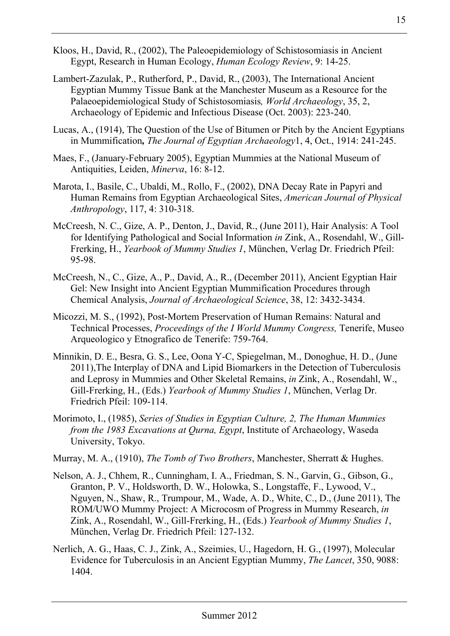- Kloos, H., David, R., (2002), The Paleoepidemiology of Schistosomiasis in Ancient Egypt, Research in Human Ecology, *Human Ecology Review*, 9: 14-25.
- Lambert-Zazulak, P., Rutherford, P., David, R., (2003), The International Ancient Egyptian Mummy Tissue Bank at the Manchester Museum as a Resource for the Palaeoepidemiological Study of Schistosomiasis*, World Archaeology*, 35, 2, Archaeology of Epidemic and Infectious Disease (Oct. 2003): 223-240.
- Lucas, A., (1914), The Question of the Use of Bitumen or Pitch by the Ancient Egyptians in Mummification*, The Journal of Egyptian Archaeology*1, 4, Oct., 1914: 241-245.
- Maes, F., (January-February 2005), Egyptian Mummies at the National Museum of Antiquities, Leiden, *Minerva*, 16: 8-12.
- Marota, I., Basile, C., Ubaldi, M., Rollo, F., (2002), DNA Decay Rate in Papyri and Human Remains from Egyptian Archaeological Sites, *American Journal of Physical Anthropology*, 117, 4: 310-318.
- McCreesh, N. C., Gize, A. P., Denton, J., David, R., (June 2011), Hair Analysis: A Tool for Identifying Pathological and Social Information *in* Zink, A., Rosendahl, W., Gill-Frerking, H., *Yearbook of Mummy Studies 1*, München, Verlag Dr. Friedrich Pfeil: 95-98.
- McCreesh, N., C., Gize, A., P., David, A., R., (December 2011), Ancient Egyptian Hair Gel: New Insight into Ancient Egyptian Mummification Procedures through Chemical Analysis, *Journal of Archaeological Science*, 38, 12: 3432-3434.
- Micozzi, M. S., (1992), Post-Mortem Preservation of Human Remains: Natural and Technical Processes, *Proceedings of the I World Mummy Congress,* Tenerife, Museo Arqueologico y Etnografico de Tenerife: 759-764.
- Minnikin, D. E., Besra, G. S., Lee, Oona Y-C, Spiegelman, M., Donoghue, H. D., (June 2011),The Interplay of DNA and Lipid Biomarkers in the Detection of Tuberculosis and Leprosy in Mummies and Other Skeletal Remains, *in* Zink, A., Rosendahl, W., Gill-Frerking, H., (Eds.) *Yearbook of Mummy Studies 1*, München, Verlag Dr. Friedrich Pfeil: 109-114.
- Morimoto, I., (1985), *Series of Studies in Egyptian Culture, 2, The Human Mummies from the 1983 Excavations at Qurna, Egypt*, Institute of Archaeology, Waseda University, Tokyo.
- Murray, M. A., (1910), *The Tomb of Two Brothers*, Manchester, Sherratt & Hughes.
- Nelson, A. J., Chhem, R., Cunningham, I. A., Friedman, S. N., Garvin, G., Gibson, G., Granton, P. V., Holdsworth, D. W., Holowka, S., Longstaffe, F., Lywood, V., Nguyen, N., Shaw, R., Trumpour, M., Wade, A. D., White, C., D., (June 2011), The ROM/UWO Mummy Project: A Microcosm of Progress in Mummy Research, *in* Zink, A., Rosendahl, W., Gill-Frerking, H., (Eds.) *Yearbook of Mummy Studies 1*, München, Verlag Dr. Friedrich Pfeil: 127-132.
- Nerlich, A. G., Haas, C. J., Zink, A., Szeimies, U., Hagedorn, H. G., (1997), Molecular Evidence for Tuberculosis in an Ancient Egyptian Mummy, *The Lancet*, 350, 9088: 1404.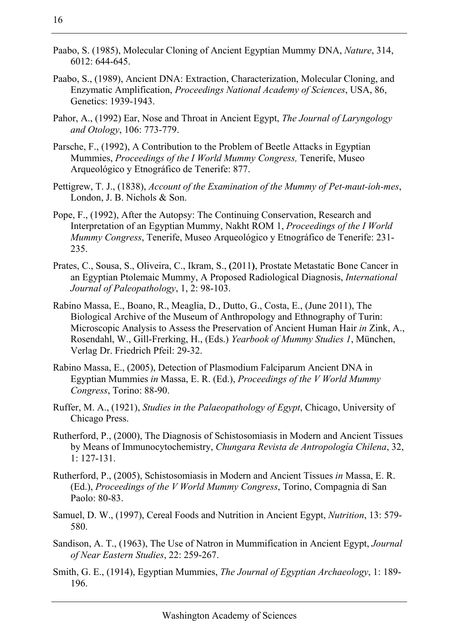- Paabo, S. (1985), Molecular Cloning of Ancient Egyptian Mummy DNA, *Nature*, 314, 6012: 644-645.
- Paabo, S., (1989), Ancient DNA: Extraction, Characterization, Molecular Cloning, and Enzymatic Amplification, *Proceedings National Academy of Sciences*, USA, 86, Genetics: 1939-1943.
- Pahor, A., (1992) Ear, Nose and Throat in Ancient Egypt, *The Journal of Laryngology and Otology*, 106: 773-779.
- Parsche, F., (1992), A Contribution to the Problem of Beetle Attacks in Egyptian Mummies, *Proceedings of the I World Mummy Congress,* Tenerife, Museo Arqueológico y Etnográfico de Tenerife: 877.
- Pettigrew, T. J., (1838), *Account of the Examination of the Mummy of Pet-maut-ioh-mes*, London, J. B. Nichols & Son.
- Pope, F., (1992), After the Autopsy: The Continuing Conservation, Research and Interpretation of an Egyptian Mummy, Nakht ROM 1, *Proceedings of the I World Mummy Congress*, Tenerife, Museo Arqueológico y Etnográfico de Tenerife: 231- 235.
- Prates, C., Sousa, S., Oliveira, C., Ikram, S., **(**2011**)**, Prostate Metastatic Bone Cancer in an Egyptian Ptolemaic Mummy, A Proposed Radiological Diagnosis, *International Journal of Paleopathology*, 1, 2: 98-103.
- Rabino Massa, E., Boano, R., Meaglia, D., Dutto, G., Costa, E., (June 2011), The Biological Archive of the Museum of Anthropology and Ethnography of Turin: Microscopic Analysis to Assess the Preservation of Ancient Human Hair *in* Zink, A., Rosendahl, W., Gill-Frerking, H., (Eds.) *Yearbook of Mummy Studies 1*, München, Verlag Dr. Friedrich Pfeil: 29-32.
- Rabino Massa, E., (2005), Detection of Plasmodium Falciparum Ancient DNA in Egyptian Mummies *in* Massa, E. R. (Ed.), *Proceedings of the V World Mummy Congress*, Torino: 88-90.
- Ruffer, M. A., (1921), *Studies in the Palaeopathology of Egypt*, Chicago, University of Chicago Press.
- Rutherford, P., (2000), The Diagnosis of Schistosomiasis in Modern and Ancient Tissues by Means of Immunocytochemistry, *Chungara Revista de Antropología Chilena*, 32, 1: 127-131.
- Rutherford, P., (2005), Schistosomiasis in Modern and Ancient Tissues *in* Massa, E. R. (Ed.), *Proceedings of the V World Mummy Congress*, Torino, Compagnia di San Paolo: 80-83.
- Samuel, D. W., (1997), Cereal Foods and Nutrition in Ancient Egypt, *Nutrition*, 13: 579- 580.
- Sandison, A. T., (1963), The Use of Natron in Mummification in Ancient Egypt, *Journal of Near Eastern Studies*, 22: 259-267.
- Smith, G. E., (1914), Egyptian Mummies, *The Journal of Egyptian Archaeology*, 1: 189- 196.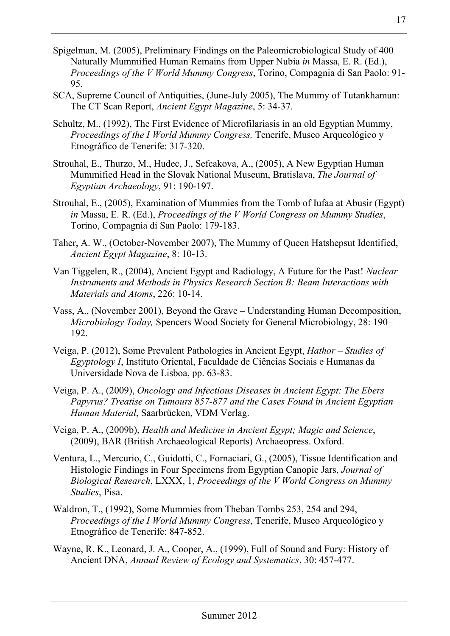- Spigelman, M. (2005), Preliminary Findings on the Paleomicrobiological Study of 400 Naturally Mummified Human Remains from Upper Nubia *in* Massa, E. R. (Ed.), *Proceedings of the V World Mummy Congress*, Torino, Compagnia di San Paolo: 91- 95.
- SCA, Supreme Council of Antiquities, (June-July 2005), The Mummy of Tutankhamun: The CT Scan Report, *Ancient Egypt Magazine*, 5: 34-37.
- Schultz, M., (1992), The First Evidence of Microfilariasis in an old Egyptian Mummy, *Proceedings of the I World Mummy Congress,* Tenerife, Museo Arqueológico y Etnográfico de Tenerife: 317-320.
- Strouhal, E., Thurzo, M., Hudec, J., Sefcakova, A., (2005), A New Egyptian Human Mummified Head in the Slovak National Museum, Bratislava, *The Journal of Egyptian Archaeology*, 91: 190-197.
- Strouhal, E., (2005), Examination of Mummies from the Tomb of Iufaa at Abusir (Egypt) *in* Massa, E. R. (Ed.), *Proceedings of the V World Congress on Mummy Studies*, Torino, Compagnia di San Paolo: 179-183.
- Taher, A. W., (October-November 2007), The Mummy of Queen Hatshepsut Identified, *Ancient Egypt Magazine*, 8: 10-13.
- Van Tiggelen, R., (2004), Ancient Egypt and Radiology, A Future for the Past! *Nuclear Instruments and Methods in Physics Research Section B: Beam Interactions with Materials and Atoms*, 226: 10-14.
- Vass, A., (November 2001), Beyond the Grave Understanding Human Decomposition, *Microbiology Today,* Spencers Wood Society for General Microbiology, 28: 190– 192.
- Veiga, P. (2012), Some Prevalent Pathologies in Ancient Egypt, *Hathor Studies of Egyptology I*, Instituto Oriental, Faculdade de Ciências Sociais e Humanas da Universidade Nova de Lisboa, pp. 63-83.
- Veiga, P. A., (2009), *Oncology and Infectious Diseases in Ancient Egypt: The Ebers Papyrus? Treatise on Tumours 857-877 and the Cases Found in Ancient Egyptian Human Material*, Saarbrücken, VDM Verlag.
- Veiga, P. A., (2009b), *Health and Medicine in Ancient Egypt; Magic and Science*, (2009), BAR (British Archaeological Reports) Archaeopress. Oxford.
- Ventura, L., Mercurio, C., Guidotti, C., Fornaciari, G., (2005), Tissue Identification and Histologic Findings in Four Specimens from Egyptian Canopic Jars, *Journal of Biological Research*, LXXX, 1, *Proceedings of the V World Congress on Mummy Studies*, Pisa.
- Waldron, T., (1992), Some Mummies from Theban Tombs 253, 254 and 294, *Proceedings of the I World Mummy Congress*, Tenerife, Museo Arqueológico y Etnográfico de Tenerife: 847-852.
- Wayne, R. K., Leonard, J. A., Cooper, A., (1999), Full of Sound and Fury: History of Ancient DNA, *Annual Review of Ecology and Systematics*, 30: 457-477.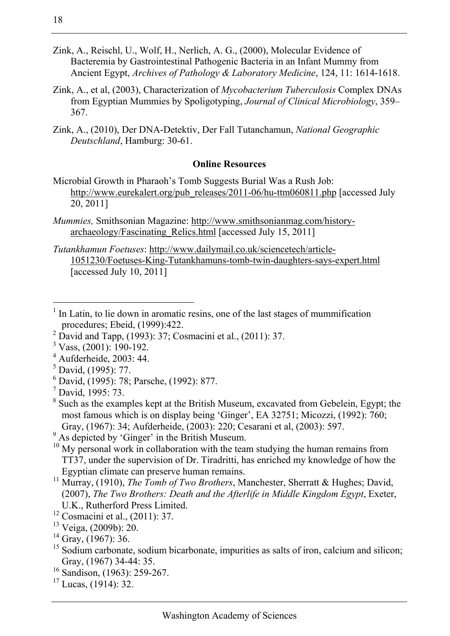- Zink, A., Reischl, U., Wolf, H., Nerlich, A. G., (2000), Molecular Evidence of Bacteremia by Gastrointestinal Pathogenic Bacteria in an Infant Mummy from Ancient Egypt, *Archives of Pathology & Laboratory Medicine*, 124, 11: 1614-1618.
- Zink, A., et al, (2003), Characterization of *Mycobacterium Tuberculosis* Complex DNAs from Egyptian Mummies by Spoligotyping, *Journal of Clinical Microbiology*, 359– 367.
- Zink, A., (2010), Der DNA-Detektiv, Der Fall Tutanchamun, *National Geographic Deutschland*, Hamburg: 30-61.

#### **Online Resources**

- Microbial Growth in Pharaoh's Tomb Suggests Burial Was a Rush Job: http://www.eurekalert.org/pub\_releases/2011-06/hu-ttm060811.php [accessed July 20, 2011]
- *Mummies,* Smithsonian Magazine: http://www.smithsonianmag.com/historyarchaeology/Fascinating\_Relics.html [accessed July 15, 2011]
- *Tutankhamun Foetuses*: http://www.dailymail.co.uk/sciencetech/article-1051230/Foetuses-King-Tutankhamuns-tomb-twin-daughters-says-expert.html [accessed July 10, 2011]

- <sup>2</sup> David and Tapp,  $(1993)$ :  $37$ ; Cosmacini et al.,  $(2011)$ : 37.
- <sup>3</sup> Vass, (2001): 190-192.
- $4$  Aufderheide, 2003: 44.
- 5 David, (1995): 77.
- 6 David, (1995): 78; Parsche, (1992): 877.
- 7 David, 1995: 73.
- <sup>8</sup> Such as the examples kept at the British Museum, excavated from Gebelein, Egypt; the most famous which is on display being 'Ginger', EA 32751; Micozzi, (1992): 760; Gray, (1967): 34; Aufderheide, (2003): 220; Cesarani et al, (2003): 597.
- <sup>9</sup> As depicted by 'Ginger' in the British Museum.
- $10$  My personal work in collaboration with the team studying the human remains from TT37, under the supervision of Dr. Tiradritti, has enriched my knowledge of how the Egyptian climate can preserve human remains. 11 Murray, (1910), *The Tomb of Two Brothers*, Manchester, Sherratt & Hughes; David,
- (2007), *The Two Brothers: Death and the Afterlife in Middle Kingdom Egypt*, Exeter, U.K., Rutherford Press Limited. 12 Cosmacini et al., (2011): 37.
- 
- $13$  Veiga, (2009b): 20.

- $15$  Sodium carbonate, sodium bicarbonate, impurities as salts of iron, calcium and silicon; Gray, (1967) 34-44: 35.<br><sup>16</sup> Sandison, (1963): 259-267.
- 
- $17$  Lucas,  $(1914)$ : 32.

<sup>&</sup>lt;sup>1</sup> In Latin, to lie down in aromatic resins, one of the last stages of mummification procedures; Ebeid, (1999):422.

 $14$  Gray, (1967): 36.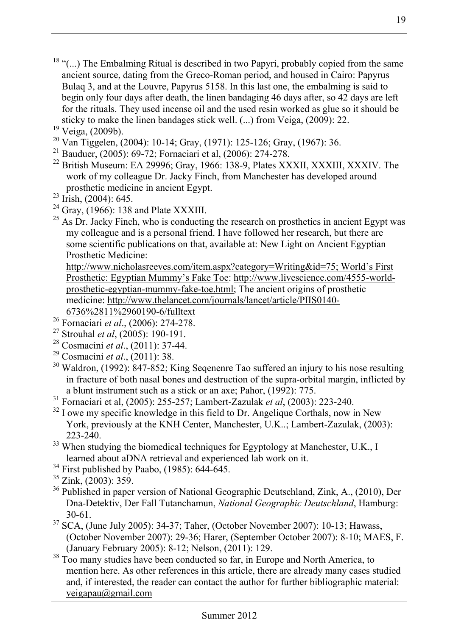- $18$  "(...) The Embalming Ritual is described in two Papyri, probably copied from the same ancient source, dating from the Greco-Roman period, and housed in Cairo: Papyrus Bulaq 3, and at the Louvre, Papyrus 5158. In this last one, the embalming is said to begin only four days after death, the linen bandaging 46 days after, so 42 days are left for the rituals. They used incense oil and the used resin worked as glue so it should be sticky to make the linen bandages stick well. (...) from Veiga, (2009): 22. 19 Veiga, (2009b).
- 
- 20 Van Tiggelen, (2004): 10-14; Gray, (1971): 125-126; Gray, (1967): 36.
- 21 Bauduer, (2005): 69-72; Fornaciari et al, (2006): 274-278.
- $^{22}$  British Museum: EA 29996; Gray, 1966: 138-9, Plates XXXII, XXXIII, XXXIV. The work of my colleague Dr. Jacky Finch, from Manchester has developed around prosthetic medicine in ancient Egypt. 23 Irish, (2004): 645.
- 
- <sup>24</sup> Gray,  $(1966)$ : 138 and Plate XXXIII.
- $^{25}$  As Dr. Jacky Finch, who is conducting the research on prosthetics in ancient Egypt was my colleague and is a personal friend. I have followed her research, but there are some scientific publications on that, available at: New Light on Ancient Egyptian Prosthetic Medicine:

http://www.nicholasreeves.com/item.aspx?category=Writing&id=75; World's First Prosthetic: Egyptian Mummy's Fake Toe: http://www.livescience.com/4555-worldprosthetic-egyptian-mummy-fake-toe.html; The ancient origins of prosthetic medicine: http://www.thelancet.com/journals/lancet/article/PIIS0140-

- 
- 
- 
- 
- 
- $\frac{6736\%2811\%2960190-6/fulltext}{26}$ <br>
<sup>26</sup> Fornaciari *et al.*, (2006): 274-278.<br>
<sup>27</sup> Strouhal *et al.*, (2005): 190-191.<br>
<sup>28</sup> Cosmacini *et al.*, (2011): 37-44.<br>
<sup>29</sup> Cosmacini *et al.*, (2011): 38.<br>
<sup>30</sup> Waldron, (1992): in fracture of both nasal bones and destruction of the supra-orbital margin, inflicted by
- a blunt instrument such as a stick or an axe; Pahor, (1992): 775.<br><sup>31</sup> Fornaciari et al, (2005): 255-257; Lambert-Zazulak *et al*, (2003): 223-240.<br><sup>32</sup> I owe my specific knowledge in this field to Dr. Angeliaue Corthals,
- York, previously at the KNH Center, Manchester, U.K..; Lambert-Zazulak, (2003): 223-240. <sup>33</sup> When studying the biomedical techniques for Egyptology at Manchester, U.K., I
- learned about aDNA retrieval and experienced lab work on it. 34 First published by Paabo, (1985): 644-645.
- 
- $35$  Zink, (2003): 359.
- <sup>36</sup> Published in paper version of National Geographic Deutschland, Zink, A., (2010), Der Dna-Detektiv, Der Fall Tutanchamun, *National Geographic Deutschland*, Hamburg: 30-61. 37 SCA, (June July 2005): 34-37; Taher, (October November 2007): 10-13; Hawass,
- (October November 2007): 29-36; Harer, (September October 2007): 8-10; MAES, F. (January February 2005): 8-12; Nelson, (2011): 129.<br><sup>38</sup> Too many studies have been conducted so far, in Europe and North America, to
- mention here. As other references in this article, there are already many cases studied and, if interested, the reader can contact the author for further bibliographic material: veigapau@gmail.com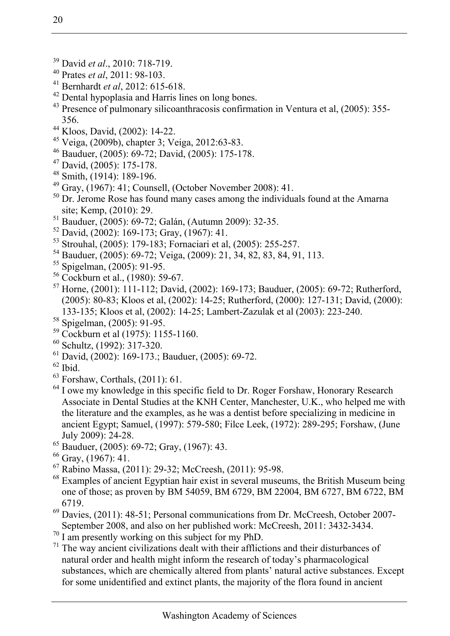- 
- 
- 
- <sup>39</sup> David *et al.*, 2010: 718-719.<br><sup>40</sup> Prates *et al.*, 2011: 98-103.<br><sup>41</sup> Bernhardt *et al.*, 2012: 615-618.<br><sup>42</sup> Dental hypoplasia and Harris lines on long bones.
- <sup>43</sup> Presence of pulmonary silicoanthracosis confirmation in Ventura et al. (2005): 355-
- 356. 44 Kloos, David, (2002): 14-22.
- 45 Veiga, (2009b), chapter 3; Veiga, 2012:63-83.
- $^{46}$  Bauduer, (2005): 69-72; David, (2005): 175-178.
- 47 David, (2005): 175-178.
- 48 Smith, (1914): 189-196.
- $^{49}$  Gray, (1967): 41; Counsell, (October November 2008): 41.
- $50$  Dr. Jerome Rose has found many cases among the individuals found at the Amarna site; Kemp, (2010): 29.<br><sup>51</sup> Bauduer, (2005): 69-72; Galán, (Autumn 2009): 32-35.
- 
- $52$  David, (2002): 169-173; Gray, (1967): 41.
- 53 Strouhal, (2005): 179-183; Fornaciari et al, (2005): 255-257.
- 54 Bauduer, (2005): 69-72; Veiga, (2009): 21, 34, 82, 83, 84, 91, 113.
- 55 Spigelman, (2005): 91-95.
- 56 Cockburn et al., (1980): 59-67.
- 57 Horne, (2001): 111-112; David, (2002): 169-173; Bauduer, (2005): 69-72; Rutherford, (2005): 80-83; Kloos et al, (2002): 14-25; Rutherford, (2000): 127-131; David, (2000): 133-135; Kloos et al, (2002): 14-25; Lambert-Zazulak et al (2003): 223-240. 58 Spigelman, (2005): 91-95.
- 
- $59$  Cockburn et al (1975): 1155-1160.
- 60 Schultz, (1992): 317-320.
- 61 David, (2002): 169-173.; Bauduer, (2005): 69-72.
- $62$  Ibid.
- 63 Forshaw, Corthals, (2011): 61.
- <sup>64</sup> I owe my knowledge in this specific field to Dr. Roger Forshaw, Honorary Research Associate in Dental Studies at the KNH Center, Manchester, U.K., who helped me with the literature and the examples, as he was a dentist before specializing in medicine in ancient Egypt; Samuel, (1997): 579-580; Filce Leek, (1972): 289-295; Forshaw, (June July 2009): 24-28.
- $\frac{65}{2}$  Bauduer, (2005): 69-72; Gray, (1967): 43.
- 66 Gray, (1967): 41.
- 67 Rabino Massa, (2011): 29-32; McCreesh, (2011): 95-98.
- $68$  Examples of ancient Egyptian hair exist in several museums, the British Museum being one of those; as proven by BM 54059, BM 6729, BM 22004, BM 6727, BM 6722, BM
- 6719.<br><sup>69</sup> Davies, (2011): 48-51; Personal communications from Dr. McCreesh, October 2007-September 2008, and also on her published work: McCreesh, 2011: 3432-3434. <sup>70</sup> I am presently working on this subject for my PhD.
- 
- $71$  The way ancient civilizations dealt with their afflictions and their disturbances of natural order and health might inform the research of today's pharmacological substances, which are chemically altered from plants' natural active substances. Except for some unidentified and extinct plants, the majority of the flora found in ancient